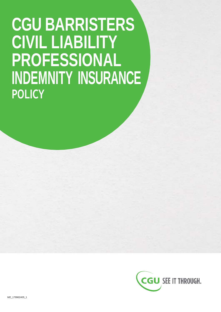# **CGU BARRISTERS CIVIL LIABILITY PROFESSIONAL INDEMNITY INSURANCE POLICY**

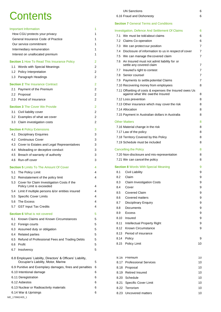# **Contents**

| <b>Important Information</b>                                                                       | 1      | Investigation, Defence And Settlement Of Claims                            | 6        |
|----------------------------------------------------------------------------------------------------|--------|----------------------------------------------------------------------------|----------|
| How CGU protects your privacy                                                                      | 1      | 7.1 We must be told about claims                                           | 6        |
| General Insurance Code of Practice                                                                 | 1      | 7.2 Claims Co-operation                                                    | 6        |
| Our service commitment                                                                             | 1      | 7.3 We can protect our position                                            | 7        |
| Intermediary remuneration                                                                          | 1      | Disclosure of information to us in respect of cover<br>7.4                 | 7        |
| Interest on unallocated premium                                                                    | 1      | We can manage the covered claim<br>7.5                                     | 7        |
| <b>Section 1 How To Read This Insurance Policy</b>                                                 | 2      | 7.6 An Insured must not admit liability for or<br>settle any covered claim | 7        |
| 1.1 Words with Special Meanings                                                                    | 2      | Insured's right to contest<br>7.7                                          | 7        |
| 1.2 Policy Interpretation                                                                          | 2      | 7.8 Senior counsel                                                         | 7        |
| 1.3 Paragraph Headings                                                                             | 2      | 7.9 Payments to settle potential Claims                                    | 7        |
| <b>Section 2 The Insurance Contract</b>                                                            | 2      | 7.10 Recovering money from employees                                       | 8        |
| 2.1 Payment of the Premium                                                                         | 2      | 7.11 Offsetting of costs & expenses the Insured owes Us                    |          |
| 2.2 Proposal                                                                                       | 2      | against what We owethe Insured                                             | 8        |
| 2.3 Period of Insurance                                                                            | 2      | 7.12 Loss prevention                                                       | 8        |
| <b>Section 3 The Cover We Provide</b>                                                              | 2      | 7.13 Other insurance which may cover the risk                              | 8        |
| 3.1 Civil liability cover                                                                          | 2      | 7.14 Allocation                                                            | 8        |
| 3.2 Examples of what we cover                                                                      | 2      | 7.15 Payment in Australian dollars in Australia                            | 8        |
|                                                                                                    | 2      | <b>Other Matters</b>                                                       |          |
| 3.3 Claim investigation costs                                                                      |        | 7.16 Material change in the risk                                           | 8        |
| <b>Section 4 Policy Extensions</b>                                                                 | 3      | 7.17 Law of the policy                                                     | 8        |
| 4.1 Disciplinary Enquiries                                                                         | 3      |                                                                            | 8        |
| 4.2 Continuous Cover                                                                               | 3      | 7.18 Territory Covered by this Policy<br>7.19 Schedule must be included    |          |
| 4.3 Cover to Estates and Legal Representatives                                                     | 3      |                                                                            | 8        |
| 4.4 Misleading or deceptive conduct                                                                | 3      | <b>Cancelling the Policy</b>                                               | 8        |
| 4.5 Breach of warranty of authority                                                                | 3      | 7.20 Non-disclosure and mis-representation                                 | 8        |
| 4.6 Run-off cover                                                                                  | 3      | 7.21 We can cancel the policy                                              | 8        |
| <b>Section 5</b> Limits To The Amount Of Cover                                                     | 4      | <b>Section 8 Words With Special Meaning</b>                                | 9        |
| 5.1 The Policy Limit                                                                               | 4      | <b>Civil Liability</b><br>8.1                                              | 9        |
| 5.2 Reinstatement of the policy limit                                                              | 4      | 8.2<br>Claim                                                               | 9        |
| 5.3 Cover for Claim Investigation Costs if the                                                     |        | 8.3<br><b>Claim Investigation Costs</b>                                    | 9        |
| Policy Limit is exceeded                                                                           | 4      | 8.4<br>Cover                                                               | 9        |
| 5.4 Limit if multiple persons &/or entities insured                                                |        | <b>Covered Claim</b><br>8.5                                                | 9        |
| 5.5 Specific Cover Limits                                                                          | 4      | 8.6<br>Covered matters                                                     | 9        |
| The Excess<br>5.6                                                                                  | 4      | 8.7<br><b>Disciplinary Enquiry</b>                                         | 9        |
| 5.7 GST Input Tax Credits                                                                          | 4      | 8.8<br>Documents                                                           | 9        |
| <b>Section 6</b> What is not covered                                                               | 5      | 8.9<br><b>Excess</b>                                                       | 9        |
| Known Claims and Known Circumstances                                                               | 5      | 8.10<br>Insured                                                            | 9        |
| 6.1                                                                                                |        | Intellectual Property Right<br>8.11                                        | 9        |
| 6.2 Foreign courts                                                                                 | 5      | Known Circumstance<br>8.12                                                 | 9        |
| 6.3 Assumed duty or obligation                                                                     | 5      | Period of insurance<br>8.13                                                |          |
| <b>Related parties</b><br>6.4                                                                      | 5      | 8.14<br>Policy                                                             | 9        |
| Refund of Professional Fees and Trading Debts<br>6.5<br>Profit                                     | 5      | 8.15 Policy Limit                                                          | 10       |
| 6.6<br>6.7 Insolvency                                                                              | 5<br>5 |                                                                            |          |
|                                                                                                    |        |                                                                            |          |
| 6.8 Employers' Liability, Directors' & Officers' Liability,<br>Occupier's Liability, Motor, Marine | 5      | 8.16 Premium<br>8.17 Professional Services                                 | 10<br>10 |
| 6.9 Punitive and Exemplary damages, fines and penalties                                            | 6      | 8.18 Proposal                                                              | 10       |
| 6.10 Intentional damage                                                                            | 6      | 8.19 Retired Insured                                                       | 10       |
| 6.11 Deregistration                                                                                | 6      | 8.20 Schedule                                                              | 10       |
| 6.12 Asbestos                                                                                      | 6      | <b>Specific Cover Limit</b><br>8.21                                        | 10       |
| 6.13 Nuclear or Radioactivity materials                                                            | 6      | 8.22 Terrorism                                                             | 10       |
| 6.14 War & Uprisings                                                                               | 6      | 8.23 Uncovered matters                                                     | 10       |
|                                                                                                    |        |                                                                            |          |

### UN [Sanctions](#page-8-0) 6

| 6.16 Fraud and Dishonesty |  |
|---------------------------|--|
|                           |  |

#### **Section 7 [General Terms and Conditions](#page-8-2)**

| eral Insurance Code of Practice                                                                | 1 |            | 7.2 Claims Co-operation                                                                   | 6              |
|------------------------------------------------------------------------------------------------|---|------------|-------------------------------------------------------------------------------------------|----------------|
| service commitment                                                                             |   |            | 7.3 We can protect our position                                                           | $\overline{7}$ |
| mediary remuneration                                                                           | 1 |            | 7.4 Disclosure of information to us in respect of cover                                   | 7              |
| est on unallocated premium                                                                     | 1 |            | 7.5 We can manage the covered claim                                                       | $\overline{7}$ |
| on 1 How To Read This Insurance Policy                                                         | 2 |            | 7.6 An Insured must not admit liability for or                                            |                |
| Words with Special Meanings                                                                    | 2 |            | settle any covered claim                                                                  | 7              |
| Policy Interpretation                                                                          | 2 |            | 7.7 Insured's right to contest                                                            | 7              |
| Paragraph Headings                                                                             | 2 |            | 7.8 Senior counsel                                                                        | $\overline{7}$ |
| on 2 The Insurance Contract                                                                    | 2 |            | 7.9 Payments to settle potential Claims                                                   | 7              |
| Payment of the Premium                                                                         | 2 |            | 7.10 Recovering money from employees                                                      | 8              |
| Proposal                                                                                       | 2 |            | 7.11 Offsetting of costs & expenses the Insured owes Us<br>against what We owethe Insured | 8              |
| Period of Insurance                                                                            | 2 |            | 7.12 Loss prevention                                                                      | 8              |
|                                                                                                |   |            | 7.13 Other insurance which may cover the risk                                             | 8              |
| <b>on 3</b> The Cover We Provide                                                               | 2 |            | 7.14 Allocation                                                                           | 8              |
| Civil liability cover                                                                          | 2 |            | 7.15 Payment in Australian dollars in Australia                                           | 8              |
| Examples of what we cover                                                                      | 2 |            |                                                                                           |                |
| Claim investigation costs                                                                      | 2 |            | <b>Other Matters</b>                                                                      | 8              |
| on 4 Policy Extensions                                                                         | 3 |            | 7.16 Material change in the risk                                                          | 8              |
| Disciplinary Enquiries                                                                         | 3 |            | 7.17 Law of the policy                                                                    | 8              |
| Continuous Cover                                                                               | 3 |            | 7.18 Territory Covered by this Policy                                                     | 8              |
| Cover to Estates and Legal Representatives                                                     | 3 |            | 7.19 Schedule must be included                                                            | 8              |
| Misleading or deceptive conduct                                                                | 3 |            | <b>Cancelling the Policy</b>                                                              | 8              |
| Breach of warranty of authority                                                                | 3 |            | 7.20 Non-disclosure and mis-representation                                                | 8              |
| Run-off cover                                                                                  | 3 |            | 7.21 We can cancel the policy                                                             | 8              |
|                                                                                                |   |            |                                                                                           |                |
| <b>on 5</b> Limits To The Amount Of Cover                                                      | 4 | 8.1        | <b>Section 8 Words With Special Meaning</b>                                               | 9              |
| The Policy Limit                                                                               | 4 | 8.2        | <b>Civil Liability</b><br>Claim                                                           | 9              |
| Reinstatement of the policy limit                                                              | 4 |            |                                                                                           | 9              |
| Cover for Claim Investigation Costs if the<br>Policy Limit is exceeded                         | 4 | 8.3<br>8.4 | <b>Claim Investigation Costs</b><br>Cover                                                 | 9<br>9         |
| Limit if multiple persons &/or entities insured                                                | 4 | 8.5        | <b>Covered Claim</b>                                                                      | 9              |
| <b>Specific Cover Limits</b>                                                                   | 4 | 8.6        | Covered matters                                                                           | 9              |
| The Excess                                                                                     | 4 | 8.7        | <b>Disciplinary Enquiry</b>                                                               | 9              |
| <b>GST Input Tax Credits</b>                                                                   | 4 | 8.8        | Documents                                                                                 | 9              |
| on 6 What is not covered                                                                       | 5 | 8.9        | <b>Excess</b>                                                                             | 9              |
| Known Claims and Known Circumstances                                                           | 5 |            | 8.10 Insured                                                                              | 9              |
| Foreign courts                                                                                 | 5 | 8.11       | Intellectual Property Right                                                               | 9              |
| Assumed duty or obligation                                                                     | 5 | 8.12       | <b>Known Circumstance</b>                                                                 | 9              |
| <b>Related parties</b>                                                                         | 5 | 8.13       | Period of insurance                                                                       |                |
| Refund of Professional Fees and Trading Debts                                                  | 5 | 8.14       | Policy                                                                                    | 9              |
| Profit                                                                                         | 5 | 8.15       | <b>Policy Limit</b>                                                                       | 10             |
| Insolvency                                                                                     | 5 |            |                                                                                           |                |
|                                                                                                |   |            |                                                                                           |                |
| imployers' Liability, Directors' & Officers' Liability,<br>Occupier's Liability, Motor, Marine | 5 |            | 8.16 Premium<br>8.17 Professional Services                                                | 10<br>10       |
| unitive and Exemplary damages, fines and penalties                                             | 6 |            | 8.18 Proposal                                                                             | 10             |
| Intentional damage                                                                             | 6 |            | 8.19 Retired Insured                                                                      | 10             |
| Deregistration                                                                                 | 6 |            | 8.20 Schedule                                                                             | 10             |
| Asbestos                                                                                       | 6 |            | 8.21 Specific Cover Limit                                                                 | 10             |
| Nuclear or Radioactivity materials                                                             | 6 |            | 8.22 Terrorism                                                                            | 10             |
| War & Uprisings                                                                                | 6 |            | 8.23 Uncovered matters                                                                    | 10             |
|                                                                                                |   |            |                                                                                           |                |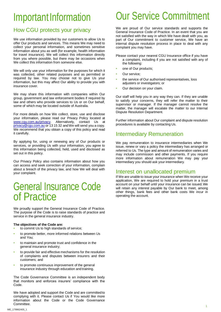# <span id="page-3-0"></span>Important Information

### <span id="page-3-1"></span>How CGU protects your privacy

We use information provided by our customers to allow Us to offer Our products and services. This means We may need to collect your personal information, and sometimes sensitive information about you as well (for example, health information for travel insurance). We will collect this information directly from you where possible, but there may be occasions when We collect this information from someone else.

We will only use your information for the purposes for which it was collected, other related purposes and as permitted or required by law. You may choose not to give Us your information, but this may affect Our ability to provide you with insurance cover.

We may share this information with companies within Our group, government and law enforcement bodies if required by law and others who provide services to Us or on Our behalf, some of which may be located outside of Australia.

For more details on how We collect, store, use and disclose your information, please read our Privacy Policy located at [www.cgu.com.au/privacy.](http://www.cgu.com.au/privacy) Alternatively, contact Us at [privacy@cgu.com.au](mailto:privacy@cgu.com.au) or 13 15 32 andWe will send you a copy. We recommend that you obtain a copy of this policy and read it carefully.

By applying for, using or renewing any of Our products or services, or providing Us with your information, you agree to this information being collected, held, used and disclosed as set out in this policy.

Our Privacy Policy also contains information about how you can access and seek correction of your information, complain about a breach of the privacy law, and how We will deal with your complaint.

### <span id="page-3-2"></span>General Insurance Code of Practice

We proudly support the General Insurance Code of Practice. The purpose of the Code is to raise standards of practice and service in the general insurance industry*.*

#### **The objectives of the Code are:**

- to commit Us to high standards of service;
- to promote better, more informed relations between Us and You;
- to maintain and promote trust and confidence in the general insurance industry;
- to provide fair and effective mechanisms for the resolution of complaints and disputes between insurers and their customers; and
- to promote continuous improvement of the general insurance industry through education and training.

The Code Governance Committee is an independent body that monitors and enforces insurers' compliance with the Code.

<span id="page-3-3"></span>We have adopted and support the Code and are committed to complying with it. Please contact Us if You would like more information about the Code or the Code Governance Committee.

# Our Service Commitment

We are proud of Our service standards and supports the General Insurance Code of Practice. In an event that you are not satisfied with the way in which We have dealt with you, as part of Our commitment to customer service, We have an internal dispute resolution process in place to deal with any complaint you may have.

Please contact your nearest CGU Insurance office if you have a complaint, including if you are not satisfied with any of the following:

- one of Our products:
- Our service*;*
- the service of Our authorised representatives, loss adjusters or investigators; or
- Our decision on your claim.

Our staff will help you in any way they can. If they are unable to satisfy your concerns, they will refer the matter to their supervisor or manager. If the manager cannot resolve the matter, the manager will escalate the matter to our Internal Dispute Resolution Department.

Further information about Our complaint and dispute resolution procedures is available by contacting Us.

### <span id="page-3-4"></span>Intermediary Remuneration

We pay remuneration to insurance intermediaries when We issue, renew or vary a policy the intermediary has arranged or referred to Us. The type and amount of remuneration varies and may include commission and other payments. If you require more information about remuneration We may pay your intermediary you should ask your intermediary.

### <span id="page-3-5"></span>Interest on unallocated premium

If We are unable to issue your insurance when We receive your application, We are required to hold your premium in a trust account on your behalf until your insurance can be issued.We will retain any interest payable by Our bank to meet, among other things, bank fees and other bank costs We incur in operating the account.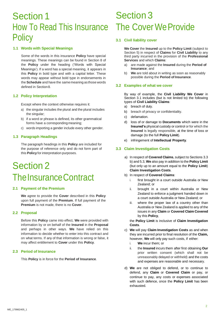### Section 1 How To Read This Insurance **Policy**

#### <span id="page-4-0"></span>**1.1 Words with Special Meanings**

Some of the words in this insurance **Policy** have special meanings. These meanings can be found in Section 8 of the **Policy** under the heading ('Words with Special Meanings'). If a word has a special meaning, it appears in this **Policy** in bold type and with a capital letter. These words may appear without bold type in endorsements in the **Schedule** and have the samemeaning as those words defined in Section 8.

#### <span id="page-4-1"></span>**1.2 Policy Interpretation**

Except where the context otherwise requires it:

- a) the singular includes the plural and the plural includes the singular;
- b) if a word or phrase is defined, its other grammatical forms have a corresponding meaning;
- c) words importing a gender include every other gender.

#### <span id="page-4-2"></span>**1.3 Paragraph Headings**

The paragraph headings in this **Policy** are included for the purpose of reference only and do not form part of this **Policy** for interpretation purposes.

## Section 2 The Insurance Contract

#### <span id="page-4-3"></span>**2.1 Payment of the Premium**

**We** agree to provide the **Cover** described in this **Policy**  upon full payment of the **Premium**. If full payment of the **Premium** is not made, there is no **Cover**.

#### <span id="page-4-4"></span>**2.2 Proposal**

Before this **Policy** came into effect, **We** were provided with information by or on behalf of the **Insured** in the **Proposal**  and perhaps in other ways. **We** have relied on this information to decide whether to enter into this contract and on what terms. If any of that information is wrong or false, it may affect entitlement to **Cover** under this **Policy**.

#### <span id="page-4-5"></span>**2.3 Period of Insurance**

This **Policy** is in force for the **Period of Insurance**.

## Section 3 The Cover We Provide

#### <span id="page-4-6"></span>**3.1 Civil liability cover**

**We Cover** the **Insured** up to the **Policy Limit** (subject to Section 5) in respect of **Claims** for **Civil Liability** to any third party incurred in the provision of the **Professional Services** and which **Claims**:

- a) are made against the **Insured** during the **Period of Insurance**; and
- b) **We** are told about in writing as soon as reasonably possible during the **Period of Insurance**.

#### <span id="page-4-7"></span>**3.2 Examples of what we cover**

By way of example, the **Civil Liability We Cover** in Section 3.1 includes (but is not limited to) the following types of **Civil Liability Claims**:

- a) breach of duty.
- b) breach of privacy or confidentiality.
- c) defamation.
- d) loss of or damage to **Documents** which were in the **Insured's** physical custody or control or for which the **Insured** is legally responsible, at the time of loss or damage (to the full **Policy Limit**).
- e) infringement of **Intellectual Property**.

#### <span id="page-4-8"></span>**3.3 Claim Investigation Costs**

- a) In respect of **Covered Claims**, subject to Sections 3.3 b) and 5.3, **We** also pay in addition to the **Policy Limit**  (but only up to an amount equal to the **Policy Limit**) **Claim Investigation Costs**.
- b) In respect of **Covered Claims**:
	- i. first brought in a court outside Australia or New Zealand; or
	- ii. brought in a court within Australia or New Zealand to enforce a judgment handed down in a court outside Australia or New Zealand; or
	- iii. where the proper law of a country other than Australia or New Zealand is applied to any of the issues in any **Claim** or **Covered Claim Covered**  by this **Policy**,

the **Policy Limit** is inclusive of **Claim Investigation Costs**.

- c) **We** will pay **Claim Investigation Costs** as and when they are incurred prior to final resolution of the **Claim,**  however, **We** will only pay such costs, if either:
	- i. **We** incur them; or
	- ii. the **Insured** incurs them after first obtaining **Our** prior written consent (which shall not be unreasonably delayed or withheld) and the costs and expenses are reasonable and necessary.
- d) **We** are not obliged to defend, or to continue to defend, any **Claim** or **Covered Claim** or pay, or continue to pay, any costs or expenses associated with such defence, once the **Policy Limit** has been exhausted.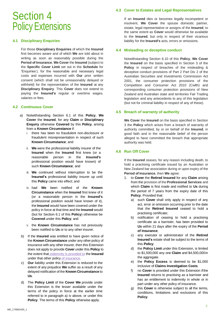### <span id="page-5-0"></span>Section 4 Policy Extensions

#### <span id="page-5-1"></span>**4.1 Disciplinary Enquiries**

For those **Disciplinary Enquiries** of which the **Insured**  first becomes aware and of which **We** are told about in writing as soon as reasonably possible during the **Period of Insurance**, **We Cover** the **Insured** (subject to the **Specific Cover Limit** set out in the **Schedule** for 'Enquiries'), for the reasonable and necessary legal costs and expenses incurred with **Our** prior written consent (which shall not be unreasonably delayed or withheld) for the representation of the **Insured** at any **Disciplinary Enquiry**. This **Cover** does not extend to paying the **Insured's** regular or overtime wages, salaries or fees.

#### <span id="page-5-2"></span>**4.2 Continuous Cover**

- a) Notwithstanding Section 6.1 of this **Policy**, **We Cover** the **Insured**, for any **Claim** or **Disciplinary Enquiry** otherwise **Covered** by this **Policy**, arising from a **Known Circumstance** if:
	- i. there has been no fraudulent non-disclosure or fraudulent misrepresentation in respect of such **Known Circumstance**; and
	- ii. **We** were the professional liability insurer of the **Insured** when the **Insured** first knew (or a reasonable person in the **Insured's**  professional position would have known) of such **Known Circumstance**; and
	- iii. **We** continued without interruption to be the **Insured's** professional liability insurer up until this **Policy** came into effect; and
	- iv. had **We** been notified of the **Known Circumstance** when the **Insured** first knew of it (or a reasonable person in the **Insured's**  professional position would have known of it), the **Insured** would have been covered under the policy in force at that time and the **Insured** would (but for Section 6.1 of this **Policy**) otherwise be **Covered** under this **Policy**; and
	- v. the **Known Circumstance** has not previously been notified to **Us** or to any other insurer.
- b) If the **Insured** was entitled to have given notice of the **Known Circumstance** under any other policy of insurance with any other insurer, then this Extension does not apply to provide **Cover** under this **Policy** to the extent that indemnity is provided to the **Insured** under that other policy of insurance.
- c) **Our** liability under this Extension is reduced to the extent of any prejudice **We** suffer as a result of any delayed notification of the **Known Circumstance** to **Us**.
- <span id="page-5-3"></span>d) The **Policy Limit** of the **Cover We** provide under this Extension is the lesser available under the terms of the policy in force at the earlier time referred to in paragraph a) iv above, or under this **Policy**. The terms of this **Policy** otherwise apply.

#### **4.3 Cover to Estates and Legal Representatives**

If an **Insured** dies or becomes legally incompetent or insolvent, **We Cover** the spouse domestic partner, estate, legal representative or assigns of the **Insured**, to the same extent as **Cover** would otherwise be available to the **Insured**, but only in respect of their vicarious liability for the **Insured's** acts, errors or omissions.

#### <span id="page-5-4"></span>**4.4 Misleading or deceptive conduct**

Notwithstanding Section 6.10 of this **Policy**, **We Cover**  the **Insured** on the basis specified in Section 3 of the **Policy** in respect of breaches of the misleading & deceptive conduct provisions of Part 2 Part Div 2 of the Australian Securities and Investments Commission Act 2001, the consumer protection provisions of the Competition and Consumer Act 2010 (Cwlth) and corresponding consumer protection provisions of New Zealand and Australian state and territories Fair Trading legislation and any antecedents to any of this legislation (but not for criminal liability in respect of any of these).

#### <span id="page-5-5"></span>**4.5 Breach of warranty of authority**

**We Cover** the **Insured** on the basis specified in Section 3 the **Policy** which arises from a breach of warranty of authority committed, by or on behalf of the **Insured**, in good faith and in the reasonable belief of the person alleged to have committed the breach that appropriate authority was held.

#### <span id="page-5-6"></span>**4.6 Run Off Cover**

If the **Insured** ceases, for any reason including death, to hold a practising certificate issued by an Australian or New Zealand bar association during or upon expiry of the **Period of Insurance**, then **We** agree:

- 1. to **Cover** the **Retired Insured** for any **Claim** arising from the provision of the **Professional Services** and which **Claim** is first made and notified to **Us** during the period of 7 years from the expiry date of this **Policy**. Provided that:
	- a) such **Cover** shall only apply in respect of any act, error or omission occurring prior to the date that the **Retired Insured** ceased to hold a practising certificate;
	- b) notification of ceasing to hold a practising certificate as a barrister, has been provided to **Us** within 21 days after the expiry of the **Period of Insurance**;
	- c) any executor or administrator of the **Retired Insured's** estate shall be subject to the terms of this **Policy**;
	- d) the **Policy Limit** under this Extension, is limited to \$1,500,000 any one **Claim** and \$4,500,000in the aggregate.
	- e) the **Policy Excess** is deemed to be \$1,000 inclusive of **Claims Investigation Costs**.
	- f) no **Cover** is provided under this Extension ifthe **Insured** returns to practising as a barrister and has an entitlement to indemnity in whole or in part under any other policy of insurance.
	- g) this **Cover** is otherwise subject to all the terms, conditions, limitations and exclusions of this **Policy**.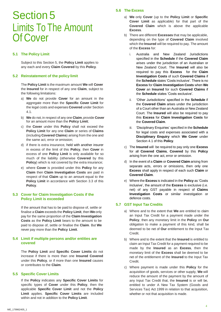## Section 5 Limits To The Amount Of Cover

#### <span id="page-6-0"></span>**5.1 The Policy Limit**

Subject to this Section 5, the **Policy Limit** applies to any each and every **Claim Covered** by this **Policy**.

#### <span id="page-6-1"></span>**5.2 Reinstatement of the policy limit**

The **Policy Limit** is the maximum amount **We** will **Cover**  the **Insured** for in respect of any one **Claim**, subject to the following limitations:

- a) **We** do not provide **Cover** for an amount in the aggregate more than the **Specific Cover Limit** for the legal costs and expenses **Covered** under Section 4.1.
- b) We do not, in respect of any one **Claim**, provide **Cover** for an amount more than the **Policy Limit**;
- c) the **Cover** under this **Policy** shall not exceed the **Policy Limit** for any one **Claim** or series of **Claims**  (including **Covered Claims**) arising from the one and the same act, error or omission;
- d) if there is extra insurance, held with another insurer in excess of the limit of this **Policy**, then **Cover** in excess of one **Policy Limit** is only available for so much of the liability (otherwise **Covered** by this **Policy**) which is not covered by the extra insurance;
- e) where **Cover** is provided under this **Policy** for any **Claim** then **Claim Investigation Costs** are paid in respect of that **Claim** up to an amount equal to the **Policy Limit** in accordance with Section 3.3 of this **Policy**.

#### **5.3 Cover for Claim Investigation Costs if the Policy Limit is exceeded**

If the amount that has to be paid to dispose of, settle or finalise a **Claim** exceeds the **Policy Limit**, then **We** only pay for the same proportion of the **Claim Investigation Costs** as the **Policy Limit** bears to the amount to be paid to dispose of, settle or finalise the **Claim**. But **We**  never pay more than the **Policy Limit**.

#### **5.4 Limit if multiple persons and/or entities are covered**

The **Policy Limit** and **Specific Cover Limits** do not increase if there is more than one **Insured Covered**  under this **Policy**, or if more than one **Insured** causes or contributes to the **Claim**.

#### <span id="page-6-2"></span>**5.5 Specific Cover Limits**

<span id="page-6-3"></span>If the **Policy** indicates any **Specific Cover Limits** for specific types of **Cover** under this **Policy**, then the applicable **Specific Cover Limit** and not the **Policy Limit** applies. **Specific Cover Limits** are included within and not in addition to the **Policy Limit**.

#### **5.6 The Excess**

- a) **We** only **Cover** (up to the **Policy Limit** or **Specific Cover Limit** as applicable) for that part of the **Covered Claim** which is above the applicable **Excess**.
- b) There are different **Excesses** that may be applicable, depending on the type of **Covered Claim** involved which the **Insured** will be required to pay. The amount of the **Excess** for:
	- i. Australia and New Zealand Jurisdictions specified in the **Schedule** if the **Covered Claim**  arises under the jurisdiction of an Australian or New Zealand Court. The **Insured** will also be required to pay this **Excess** for the **Claim Investigation Costs** of such **Covered Claims** if the **Schedule** states 'Costs inclusive'. There is no **Excess** for **Claim Investigation Costs** when **We Cover** an **Insured** for such **Covered Claims** if the **Schedule** states 'Costs exclusive'.
	- ii. 'Other Jurisdictions' specified in the **Schedule** if the **Covered Claim** arises under the jurisdiction of a Court other than an Australia or New Zealand Court. The **Insured** will also be required to pay this **Excess** for **Claim Investigation Costs** for the **Covered Claim**.
	- iii. 'Disciplinary Enquiries' specified in the **Schedule**  for legal costs and expenses associated with a **Disciplinary Enquiry** which **We Cover** under Section 4.1 of this **Policy**.
- c) The **Insured** will be required to pay only one **Excess**  for all **Covered Claims**, **Covered** by this **Policy**  arising from the one act, error or omission.
- d) In the event of a **Claim** or **Covered Claim** arising from separate acts, errors or omissions, then only one **Excess** shall apply in respect of each such **Claim** or **Covered Claim**.
- e) Where the **Excess** is indicated in the **Policy** as 'Costs inclusive', the amount of the **Excess** is exclusive (i.e. net) of any GST payable in respect of **Claims Investigation Costs** or similar investigation or defence costs.

#### <span id="page-6-4"></span>**5.7 GST Input Tax Credits**

- a) Where and to the extent that **We** are entitled to claim an Input Tax Credit for a payment made under the **Policy**, then any monetary limit in the **Policy** on **Our**  obligation to make a payment of this kind, shall be deemed to be net of **Our** entitlement to the Input Tax Credit.
- b) Where and to the extent that the **Insured** is entitled to claim an Input Tax Credit for a payment required to be made by the **Insured** as an **Excess**, then the monetary limit of the **Excess** shall be deemed to be net of the entitlement of the **Insured** to the Input Tax Credit.
- c) Where payment is made under this **Policy** for the acquisition of goods, services or other supply, **We** will reduce the amount of the payment by the amount of any Input Tax Credit that, the **Insured** is or will be, entitled to under A New Tax System (Goods and Services Tax) Act 1999 in relation to that acquisition, whether or not that acquisition is made.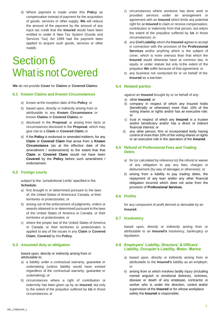d) Where payment is made under this **Policy** as compensation instead of payment for the acquisition of goods, services or other supply, **We** will reduce the amount of the payment by the amount of any input tax credit that the **Insured** would have been entitled to under A New Tax System (Goods and Services Tax) Act 1999 had the payment been applied to acquire such goods, services or other supply.

# Section 6 What is not Covered

**We** do not provide **Cover** for **Claims** or **Covered Claims**:

#### <span id="page-7-0"></span>**6.1 Known Claims and Known Circumstances**

- a) known at the inception date of this **Policy**; or
- b) based upon, directly or indirectly arising from or attributable to any **Known Circumstance** or known **Claims** or **Covered Claims**; or
- c) disclosed in the **Proposal**, or arising from facts or circumstances disclosed in the **Proposal**, which may give rise to a **Claim** or **Covered Claim**; or
- d) if the **Policy** is endorsed or amended midterm, for any **Claim** or **Covered Claim** that arose from a **Known Circumstance** (as at the effective date of the amendment / endorsement) to the extent that that **Claim** or **Covered Claim** would not have been **Covered** by the **Policy** before such amendment / endorsement.

#### <span id="page-7-1"></span>**6.2 Foreign courts**

subject to the 'Jurisdictional Limits' specified in the **Schedule**:

- a) first brought in or determined pursuant to the laws of, the United States of Americaor Canada, or their territories or protectorates; or
- b) arising out of the enforcement of judgments, orders or awards obtained in or determined pursuant to the laws of the United States of America or Canada, or their territories or protectorates; or
- c) where the proper law of the United States of America or Canada, or their territories or protectorates is applied to any of the issues in any **Claim** or **Covered Claim**, **Covered** by this **Policy**.

#### <span id="page-7-2"></span>**6.3 Assumed duty or obligation**

based upon, directly or indirectly arising from or attributable to:

- a) a liability under a contractual warranty, guarantee or undertaking (unless liability would have existed regardless of the contractual warranty, guarantee or undertaking); or
- b) circumstances where a right of contribution or indemnity has been given up by an **Insured**, but only to the extent of the prejudice suffered by **Us** in those circumstances; or
- c) circumstances where someone has done work or provided services under an arrangement or agreement with an **Insured** which limits any potential right for an **Insured** to claim or receive compensation, contribution or indemnity from that person, but onlyto the extent of the prejudice suffered by **Us** in those circumstances: or
- d) any **Civil Liability** which the **Insured** agrees to accept in connection with the provision of the **Professional Services** and/or anything which is the subject of cover, which is more onerous than that which the **Insured** would otherwise have at common law, in equity or under statute but only tothe extent of the prejudice **We** suffer because of that agreement; or
- e) any business not conducted for or on behalf of the **Insured** as a barrister.

#### <span id="page-7-3"></span>**6.4 Related parties**

against an **Insured** brought by or on behalf of any:

- a) other **Insured**; or
- b) company in respect of which any Insured holds (beneficially or otherwise) more than 10% of the voting shares or rights and/or has an executive role; or
- c) trust in respect of which any **Insured** is a trustee and/or beneficiary and/or has a direct or indirect financial interest; or
- d) any other person, firm or incorporated body having control of more than 10% of the voting shares or rights or an executive role in the operation of the **Insured**.

#### <span id="page-7-4"></span>**6.5 Refund of Professional Fees and Trading Debts**

- a) for (or calculated by reference to) the refund or waiver of any obligation to pay any fees, charges or disbursement (by way of damages or otherwise); or
- b) arising from a liability to pay trading debts, the repayment of any loan and/or any other financial obligation incurred which does not arise from the provision of **Professional Services**.

#### **6.6 Profits**

for any component of profit derived or derivable by an **Insured**.

#### <span id="page-7-5"></span>**6.7 Insolvency**

based upon, directly or indirectly arising from or attributable to an **Insured's** insolvency, bankruptcy or liquidation.

#### **6.8 Employers' Liability, Directors' & Officers' Liability, Occupier's Liability, Motor, Marine**

- a) based upon, directly or indirectly arising from or attributable to the **Insured's** liability as an employer; or
- b) arising from or which involves bodily injury (including mental anguish or emotional distress), sickness, disease or death of any employee, contractor or worker who is under the direction, control and/or supervision of the **Insured** or for whose workplace safety the **Insured** is responsible;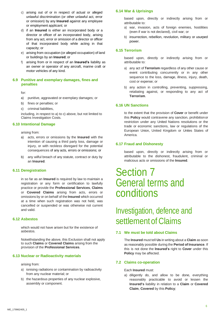- c) arising out of or in respect of actual or alleged unlawful discrimination (or other unlawful act, error or omission) by any **Insured** against any employee or employment applicant; or
- d) if an **Insured** is either an incorporated body or a director or officer of an incorporated body, arising from any act, error or omission of a director or officer of that incorporated body while acting in that capacity; or
- e) arising from occupation (or alleged occupation) of land or buildings by an **Insured**; or
- f) arising from or in respect of an **Insured's** liability as an owner or operator of any aircraft, marine craft or motor vehicles of any kind.

#### **6.9 Punitive and exemplary damages, fines and penalties**

for:

- a) punitive, aggravated or exemplary damages; or
- b) fines or penalties; or
- c) criminal liabilities,

including, in respect to a) to c) above, but not limited to Claims Investigation Costs.

#### **6.10 Intentional Damage**

arising from:

- a) acts, errors or omissions by the **Insured** with the intention of causing a third party loss, damage or injury, or with reckless disregard for the potential consequences of any acts, errors or omissions; or
- b) any wilful breach of any statute, contract or duty by an **Insured**.

#### **6.11 Deregistration**

in so far as an **Insured** is required by law to maintain a registration or any form or certification to lawfully practice or provide the **Professional Services**, **Claims**  or **Covered Claims** arising from acts, errors or omissions by or on behalf of the **Insured** which occurred at a time when such registration was not held, was cancelled or suspended or was otherwise not current and valid.

#### **6.12 Asbestos**

which would not have arisen but for the existence of asbestos.

Notwithstanding the above, this Exclusion shall not apply to such **Claims** or **Covered Claims** arising from the provision of the **Professional Services**.

#### **6.13 Nuclear or Radioactivity materials**

arising from:

- a) ionising radiations or contamination by radioactivity from any nuclear material; or
- b) the hazardous properties of any nuclear explosive, assembly or component.

#### **6.14 War & Uprisings**

based upon, directly or indirectly arising from or attributable to:

- a) war, invasion, acts of foreign enemies, hostilities (even if war is not declared), civil war; or
- b) insurrection, rebellion, revolution, military or usurped power.

#### **6.15 Terrorism**

based upon, directly or indirectly arising from or attributable to:

- a) any act of **Terrorism** regardless of any other cause or event contributing concurrently or in any other sequence to the loss, damage, illness, injury, death, cost or expense; or
- b) any action in controlling, preventing, suppressing, retaliating against, or responding to any act of **Terrorism**.

#### <span id="page-8-0"></span>**6.16 UN Sanctions**

to the extent that the provision of **Cover** or benefit under this **Policy** would contravene any sanction, prohibitionor restriction under any United Nations resolutions or the trade or economic sanctions, law or regulations of the European Union, United Kingdom or Unites States of America.

#### <span id="page-8-1"></span>**6.17 Fraud and Dishonesty**

based upon, directly or indirectly arising from or attributable to the dishonest, fraudulent, criminal or malicious acts or omissions of the **Insured**.

### <span id="page-8-2"></span>Section 7 General terms and conditions

### <span id="page-8-3"></span>Investigation, defence and settlement of Claims

#### <span id="page-8-4"></span>**7.1 We must be told about Claims**

The **Insured** must tell **Us** in writing about a **Claim** as soon as reasonably possible during the **Period of Insurance**. If this is not done the **Insured's** right to **Cover** under this **Policy** may be affected.

#### <span id="page-8-5"></span>**7.2 Claims co-operation**

#### Each **Insured** must:

a) diligently do, and allow to be done, everything reasonably practicable to avoid or lessen the **Insured's** liability in relation to a **Claim** or **Covered Claim**, **Covered** by this **Policy**;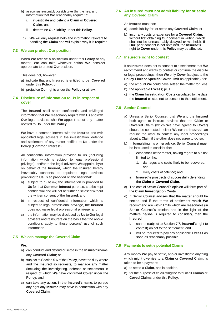- b) as soon as reasonably possible give **Us** the help and information that **We** reasonably require to:
	- i. investigate and defend a **Claim** or **Covered Claim**; and
	- ii. determine **Our** liability under this **Policy**.
- c) **We** will only request help and information relevant to handling the **Claim** and will explain why it is required.

#### <span id="page-9-0"></span>**7.3 We can protect Our position**

When **We** receive a notification under this **Policy** of any matter, **We** can take whatever action **We** consider appropriate to protect **Our** position.

This does not, however:

- a) indicate that any **Insured** is entitled to be **Covered**  under this **Policy**; or
- b) prejudice **Our** rights under the **Policy** or at law.

#### <span id="page-9-1"></span>**7.4 Disclosure of information to Us in respect of cover**

The **Insured** shall share confidential and privileged information that **We** reasonably require with **Us** and with **Our** legal advisers who **We** appoint about any matter notified to **Us** under the **Policy**.

**We** have a common interest with the **Insured** and with appointed legal advisers in the investigation, defence and settlement of any matter notified to **Us** under the **Policy** (**Common Interest**).

All confidential information provided to **Us** (including information which is subject to legal professional privilege), and/or to the legal advisers **We** appoint, byor on behalf of the **Insured**, which the **Insured** hereby irrevocably consents to appointed legal advisers providing to **Us**, is so provided on the basis that:

- a) subject to c) below, the information is provided to **Us** for that **Common Interest** purpose, is to be kept confidential and will not be further disclosed without the written consent of the **Insured**; and
- b) in respect of confidential information which is subject to legal professional privilege, the **Insured**  does not waive legal professional privilege; and
- c) the information may be disclosed by **Us** to **Our** legal advisers and reinsurers on the basis that the above conditions apply to those persons' use of such information.

#### <span id="page-9-2"></span>**7.5 We can manage the Covered Claim**

#### **We**:

- a) can conduct and defend or settle in the **Insured's**name any **Covered Claim**; or
- b) subject to Section 5.6 of the **Policy**, have the duty where and the **Insured** so requests, to manage any matter (including the investigating, defence or settlement) in respect of which **We** have confirmed **Cover** under the **Policy**; and
- c) can take any action, in the **Insured's** name, to pursue any right any **Insured** may have in connection with any **Covered Claim**.

#### **7.6 An Insured must not admit liability for or settle any Covered Claim**

An **Insured** must not:

- a) admit liability for, or settle any **Covered Claim**; or
- b) incur any costs or expenses for a **Covered Claim**; without first obtaining **Our** consent in writing (which shall not be unreasonably delayed or withheld). If **Our** prior consent is not obtained, the **Insured's**  right to **Cover** under this **Policy** may be affected.

#### <span id="page-9-3"></span>**7.7 Insured's right to contest**

If an **Insured** does not to consent to a settlement that **We**  recommend and wants to contest or continue the dispute or legal proceedings, then **We** only **Cover** (subject to the **Policy Limit or Specific Cover Limit as applicable) for:** 

- a) the amount **We** could have settled the matter for; less
- b) the applicable **Excess**; plus
- c) the **Claim Investigation Costs** calculated to the date the **Insured** elected not to consent to the settlement.

#### <span id="page-9-4"></span>**7.8 Senior Counsel**

- a) Unless a Senior Counsel, that **We** and the **Insured**  both agree to instruct, advises that the **Claim** or **Covered Claim** (which **We** have agreed to **Cover**) should be contested, neither **We** nor the **Insured** can require the other to contest any legal proceedings about a **Claim** if the other does not agree to do so.
- b) In formulating his or her advice, Senior Counsel must be instructed to consider the:
	- i. economics of the matter, having regard to but not limited to, the:
		- 1. damages and costs likely to be recovered; and
		- 2. likely costs of defence; and
	- ii. **Insured's** prospects of successfully defending the **Claim** or **Covered Claim**.
- c) The cost of Senior Counsel's opinion will form part of the **Claim Investigation Costs**.
- d) If Senior Counsel advises that the matter should be settled and if the terms of settlement which **We**  recommend are within limits which are reasonable (in Senior Counsel's opinion and in the light of the matters he/she is required to consider), then the **Insured**:
	- i. cannot (subject to Section 7.7, **Insured's** right to contest) object to the settlement; and
	- ii. will be required to pay any applicable **Excess** as soon as reasonably possible.

#### <span id="page-9-5"></span>**7.9 Payments to settle potential Claims**

Any money **We** pay to settle, and/or investigate anything which might give rise to a **Claim** or **Covered Claim**, is taken to be a payment:

- a) to settle a **Claim**, and in addition,
- b) for the purpose of calculating the total of all **Claims** or **Coved Claims** under this **Policy**.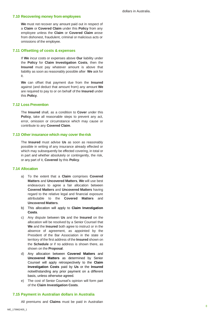#### <span id="page-10-0"></span>**7.10 Recovering money from employees**

<span id="page-10-5"></span>**We** must not recover any amount paid out in respect of a **Claim** or **Covered Claim** under this **Policy** from any employee unless the **Claim** or **Covered Claim** arose from dishonest, fraudulent, criminal or malicious acts or omissions of the employee.

#### **7.11 Offsetting of costs & expenses**

If **We** incur costs or expenses above **Our** liability under the **Policy** for **Claim Investigation Costs**, then the **Insured** must pay whatever amount is above that liability as soon as reasonably possible after **We** ask for it.

**We** can offset that payment due from the **Insured**  against (and deduct that amount from) any amount **We**  are required to pay to or on behalf of the **Insured** under this **Policy**.

#### <span id="page-10-1"></span>**7.12 Loss Prevention**

The **Insured** shall, as a condition to **Cover** under this **Policy**, take all reasonable steps to prevent any act, error, omission or circumstance which may cause or contribute to any **Covered Claim**.

#### <span id="page-10-2"></span>**7.13 Other insurance which may cover therisk**

The **Insured** must advise **Us** as soon as reasonably possible in writing of any insurance already effected or which may subsequently be effected covering, in total or in part and whether absolutely or contingently, the risk, or any part of it, **Covered** by this **Policy**.

#### <span id="page-10-3"></span>**7.14 Allocation**

- a) To the extent that a **Claim** comprises **Covered Matters** and **Uncovered Matters**, **We** will use best endeavours to agree a fair allocation between **Covered Matters** and **Uncovered Matters** having regard to the relative legal and financial exposure attributable to the **Covered Matters** and **Uncovered Matters**.
- b) This allocation will apply to **Claim Investigation Costs**.
- c) Any dispute between **Us** and the **Insured** on the allocation will be resolved by a Senior Counsel that **We** and the **Insured** both agree to instruct or in the absence of agreement, as appointed by the President of the Bar Association in the state or territory of the first address of the **Insured** shown on the **Schedule** or if no address is shown there, as shown on the **Proposal**.
- d) Any allocation between **Covered Matters** and **Uncovered Matters** as determined by Senior Counsel will apply retrospectively to the **Claim Investigation Costs** paid by **Us** or the **Insured**  notwithstanding any prior payment on a different basis, unless otherwise agreed.
- e) The cost of Senior Counsel's opinion will form part of the **Claim Investigation Costs**.

#### <span id="page-10-4"></span>**7.15 Payment in Australian dollars in Australia**

All premiums and **Claims** must be paid in Australian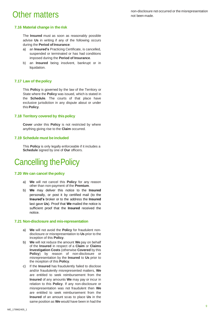### Other matters

#### <span id="page-11-0"></span>**7.16 Material change in the risk**

The **Insured** must as soon as reasonably possible advise **Us** in writing if any of the following occurs during the **Period of Insurance**:

- a) an **Insured's** Practicing Certificate, is cancelled, suspended or terminated or has had conditions imposed during the **Period of Insurance**.
- b) an **Insured** being insolvent, bankrupt or in liquidation.

#### <span id="page-11-1"></span>**7.17 Law of thepolicy**

This **Policy** is governed by the law of the Territory or State where the **Policy** was issued, which is stated in the **Schedule**. The courts of that place have exclusive jurisdiction in any dispute about or under this **Policy**.

#### <span id="page-11-2"></span>**7.18 Territory covered by thispolicy**

**Cover** under this **Policy** is not restricted by where anything giving rise to the **Claim** occurred.

#### <span id="page-11-3"></span>**7.19 Schedule must be included**

This **Policy** is only legally enforceable if it includes a **Schedule** signed by one of **Our** officers.

### <span id="page-11-4"></span>Cancelling thePolicy

#### **7.20 We can cancel the policy**

- a) **We** will not cancel this **Policy** for any reason other than non-payment of the **Premium**.
- b) **We** may deliver this notice to the **Insured** personally, or post it by certified mail (to the **Insured's** broker or to the address the **Insured**  last gave **Us**). Proof that **We** mailed the notice is sufficient proof that the **Insured** received the notice.

#### **7.21 Non-disclosure and mis-representation**

- a) **We** will not avoid the **Policy** for fraudulent nondisclosure or misrepresentation to **Us** prior to the inception of this **Policy**.
- b) **We** will not reduce the amount **We** pay on behalf of the **Insured** in respect of a **Claim** or **Claims Investigation Costs** (otherwise **Covered** by this **Policy**) by reason of non-disclosure or misrepresentation by the **Insured** to **Us** prior to the inception of this **Policy**.
- c) If the **Insured** has fraudulently failed to disclose and/or fraudulently misrepresented matters, **We**  are entitled to seek reimbursement from the **Insured** of any amounts **We** may pay or incur in relation to this **Policy**. If any non-disclosure or misrepresentation was not fraudulent then **We**  are entitled to seek reimbursement from the **Insured** of an amount soas to place **Us** in the same position as **We** would have been in had the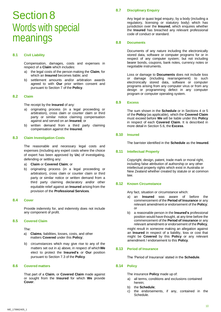## Section 8 Words with special meanings

#### <span id="page-12-0"></span>**8.1 Civil Liability**

Compensation, damages, costs and expenses in respect of a **Claim** which includes:

- a) the legal costs of the person making the **Claim**, for which an **Insured** becomes liable; and
- b) settlement amounts and/or arbitration awards agreed to with **Our** prior written consent and pursuant to Section 7 of the **Policy**.

#### <span id="page-12-1"></span>**8.2 Claim**

The receipt by the **Insured** of any:

- a) originating process (in a legal proceeding or arbitration), cross claim or counter claim or third party or similar notice claiming compensation against and served on an **Insured**; or
- b) written demand from a third party claiming compensation against the **Insured**.

#### <span id="page-12-2"></span>**8.3 Claim Investigation Costs**

The reasonable and necessary legal costs and expenses (including any expert costs where the choice of expert has been approved by **Us**) of investigating, defending or settling any:

- a) **Claim** or **Covered Claim**; or
- b) originating process (in a legal proceeding or arbitration), cross claim or counter claim or third party or similar notice or written demand from a third party claiming declaratory and/or other equitable relief against an **Insured** arising from the provision of the **Professional Services**.

#### <span id="page-12-3"></span>**8.4 Cover**

Provide indemnity for, and indemnity does not include any component of profit.

#### <span id="page-12-4"></span>**8.5 Covered Claim**

The:

- a) **Claims**, liabilities, losses, costs, and other matters **Covered** under this **Policy**;
- b) circumstances which may give rise to any of the matters set out in a) above, in respect of which**We**  elect to protect the **Insured's** or **Our** position pursuant to Section 7.3 of the **Policy**.

#### <span id="page-12-6"></span><span id="page-12-5"></span>**8.6 Covered matters**

That part of a **Claim**, or **Covered Claim** made against or sought from the **Insured** for which **We** provide **Cover**.

#### **8.7 Disciplinary Enquiry**

Any legal or quasi legal enquiry, by a body (including a regulatory, licensing or statutory body) which has jurisdiction over the **Insured**, which enquires whether the **Insured** has breached any relevant professional code of conduct or standard.

#### <span id="page-12-7"></span>**8.8 Documents**

Documents of any nature including the electronically stored data, software or computer programs for or in respect of any computer system; but not including bearer bonds, coupons, bank notes, currency notes or negotiable instruments.

Loss or damage to **Documents** does not include loss or damage (including rearrangement) to such electronically stored data, software or computer programs arising from any computer virus or from any design or programming defect in any computer program or computer operating system.

#### <span id="page-12-8"></span>**8.9 Excess**

The sum shown in the **Schedule** or in Sections 4 or 5 of the **Policy** (as applicable), which the **Covered Claim**  must exceed before **We** will be liable under this **Policy**  in respect of each **Covered Claim**. It is described in more detail in Section 5.6, the **Excess**.

#### <span id="page-12-9"></span>**8.10 Insured**

The barrister identified in the **Schedule** as the **Insured**.

#### **8.11 Intellectual Property**

Copyright, design, patent, trade mark or moral right, including false attribution of authorship or any other intellectual property rights which exist in Australia or New Zealand whether created by statute or at common law.

#### <span id="page-12-10"></span>**8.12 Known Circumstance**

Any fact, situation or circumstance which:

- a) an **Insured** was aware of before the commencement of the **Period of Insurance** or any relevant amendment or endorsement of the **Policy**; or
- b) a reasonable person in the **Insured's** professional position would have thought, at any time before the commencement of the **Period of insurance** or any relevant amendment or endorsement of the **Policy**,

might result in someone making an allegation against an **Insured** in respect of a liability, loss or cost that might be **Covered** by this **Policy** or any relevant amendment / endorsement to this **Policy**.

#### <span id="page-12-11"></span>**8.13 Period of Insurance**

The 'Period of Insurance' stated in the **Schedule**.

#### <span id="page-12-12"></span>**8.14 Policy**

The insurance **Policy** made up of:

- a) all terms, conditions and exclusions contained herein;
- b) the **Schedule**;
- c) the endorsements, if any, contained in the Schedule.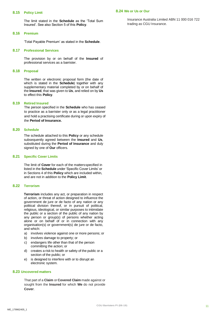#### <span id="page-13-0"></span>**8.15 Policy Limit**

The limit stated in the **Schedule** as the 'Total Sum Insured'. See also Section 5 of this **Policy**.

#### **8.16 Premium**

'Total Payable Premium' as stated in the **Schedule**.

#### **8.17 Professional Services**

The provision by or on behalf of the **Insured** of professional services as a barrister.

#### **8.18 Proposal**

The written or electronic proposal form (the date of which is stated in the **Schedule**) together with any supplementary material completed by or on behalf of the **Insured**, that was given to **Us**, and relied on by **Us**  to effect this **Policy**.

#### **8.19 Retired Insured**

The person specified in the **Schedule** who has ceased to practice as a barrister only or as a legal practitioner and hold a practising certificate during or upon expiry of the **Period of Insurance.**

#### **8.20 Schedule**

The schedule attached to this **Policy** or any schedule subsequently agreed between the **Insured** and **Us**, substituted during the **Period of Insurance** and duly signed by one of **Our** officers.

#### **8.21 Specific Cover Limits**

The limit of **Cover** for each of the mattersspecified in listed in the **Schedule** under 'Specific Cover Limits' or in Sections 4 of this **Policy** which are included within, and are not in addition to the **Policy Limit**.

#### **8.22 Terrorism**

**Terrorism** includes any act, or preparation in respect of action, or threat of action designed to influence the government de jure or de facto of any nation or any political division thereof, or in pursuit of political, religious, ideological, or similar purposes to intimidate the public or a section of the public of any nation by any person or group(s) of persons whether acting alone or on behalf of or in connection with any organisation(s) or government(s) de jure or de facto, and which:

- a) involves violence against one or more persons; or
- b) involves damage to property; or
- c) endangers life other than that of the person committing the action; or
- d) creates a risk to health or safety of the public or a section of the public; or
- e) is designed to interfere with or to disrupt an electronic system.

#### **8.23 Uncovered matters**

That part of a **Claim** or **Covered Claim** made against or sought from the **Insured** for which **We** do not provide **Cover**.

Insurance Australia Limited ABN 11 000 016 722 trading as CGU Insurance.

**8.24 We or Us or Our**